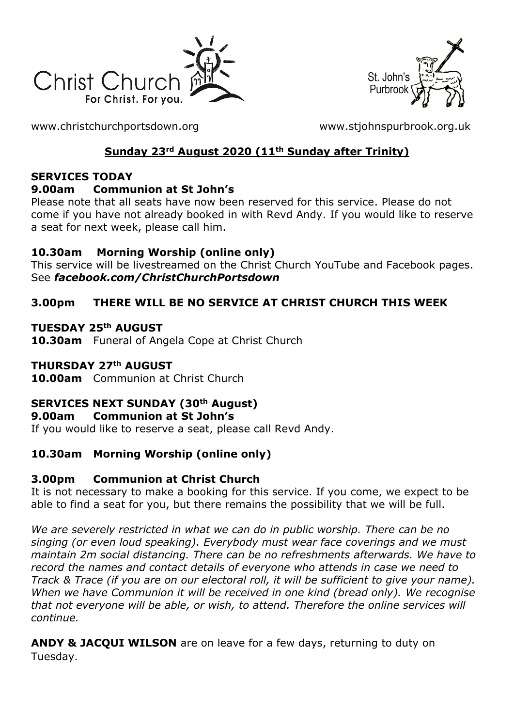



[www.christchurchportsdown.org](http://www.christchurchportsdown.org/) [www.stjohnspurbrook.org.uk](http://www.stjohnspurbrook.org.uk/)

# **Sunday 23rd August 2020 (11th Sunday after Trinity)**

#### **SERVICES TODAY**

#### **9.00am Communion at St John's**

Please note that all seats have now been reserved for this service. Please do not come if you have not already booked in with Revd Andy. If you would like to reserve a seat for next week, please call him.

### **10.30am Morning Worship (online only)**

This service will be livestreamed on the Christ Church YouTube and Facebook pages. See *[facebook.com/ChristChurchPortsdown](http://www.facebook.com/ChristChurchPortsdown%20at%2010.30)*

### **3.00pm THERE WILL BE NO SERVICE AT CHRIST CHURCH THIS WEEK**

### **TUESDAY 25th AUGUST**

**10.30am** Funeral of Angela Cope at Christ Church

#### **THURSDAY 27th AUGUST**

**10.00am** Communion at Christ Church

## **SERVICES NEXT SUNDAY (30th August)**

### **9.00am Communion at St John's**

If you would like to reserve a seat, please call Revd Andy.

## **10.30am Morning Worship (online only)**

### **3.00pm Communion at Christ Church**

It is not necessary to make a booking for this service. If you come, we expect to be able to find a seat for you, but there remains the possibility that we will be full.

*We are severely restricted in what we can do in public worship. There can be no singing (or even loud speaking). Everybody must wear face coverings and we must maintain 2m social distancing. There can be no refreshments afterwards. We have to record the names and contact details of everyone who attends in case we need to Track & Trace (if you are on our electoral roll, it will be sufficient to give your name). When we have Communion it will be received in one kind (bread only). We recognise that not everyone will be able, or wish, to attend. Therefore the online services will continue.*

**ANDY & JACQUI WILSON** are on leave for a few days, returning to duty on Tuesday.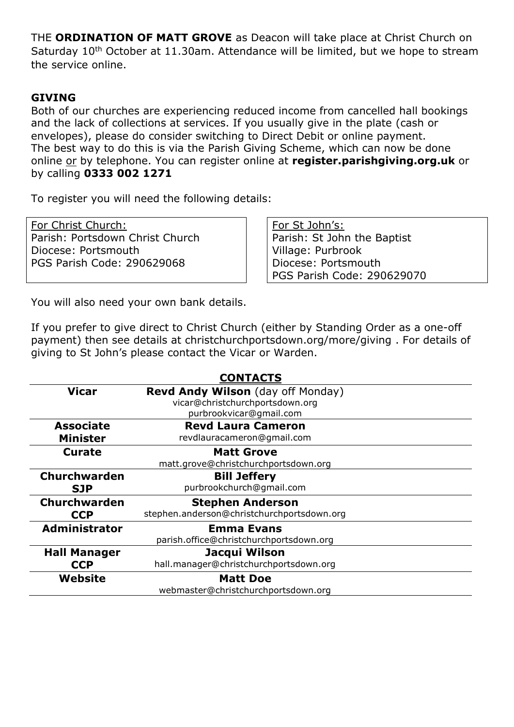THE **ORDINATION OF MATT GROVE** as Deacon will take place at Christ Church on Saturday 10<sup>th</sup> October at 11.30am. Attendance will be limited, but we hope to stream the service online.

#### **GIVING**

Both of our churches are experiencing reduced income from cancelled hall bookings and the lack of collections at services. If you usually give in the plate (cash or envelopes), please do consider switching to Direct Debit or online payment. The best way to do this is via the Parish Giving Scheme, which can now be done online or by telephone. You can register online at **register.parishgiving.org.uk** or by calling **0333 002 1271**

To register you will need the following details:

For Christ Church: Parish: Portsdown Christ Church Diocese: Portsmouth PGS Parish Code: 290629068

For St John's: Parish: St John the Baptist Village: Purbrook Diocese: Portsmouth PGS Parish Code: 290629070

You will also need your own bank details.

If you prefer to give direct to Christ Church (either by Standing Order as a one-off payment) then see details at christchurchportsdown.org/more/giving . For details of giving to St John's please contact the Vicar or Warden.

| <b>CONTACTS</b>      |                                            |
|----------------------|--------------------------------------------|
| <b>Vicar</b>         | Revd Andy Wilson (day off Monday)          |
|                      | vicar@christchurchportsdown.org            |
|                      | purbrookvicar@gmail.com                    |
| <b>Associate</b>     | <b>Revd Laura Cameron</b>                  |
| <b>Minister</b>      | revdlauracameron@gmail.com                 |
| <b>Curate</b>        | <b>Matt Grove</b>                          |
|                      | matt.grove@christchurchportsdown.org       |
| <b>Churchwarden</b>  | <b>Bill Jeffery</b>                        |
| <b>SJP</b>           | purbrookchurch@gmail.com                   |
| Churchwarden         | <b>Stephen Anderson</b>                    |
| <b>CCP</b>           | stephen.anderson@christchurchportsdown.org |
| <b>Administrator</b> | <b>Emma Evans</b>                          |
|                      | parish.office@christchurchportsdown.org    |
| <b>Hall Manager</b>  | Jacqui Wilson                              |
| <b>CCP</b>           | hall.manager@christchurchportsdown.org     |
| Website              | <b>Matt Doe</b>                            |
|                      | webmaster@christchurchportsdown.org        |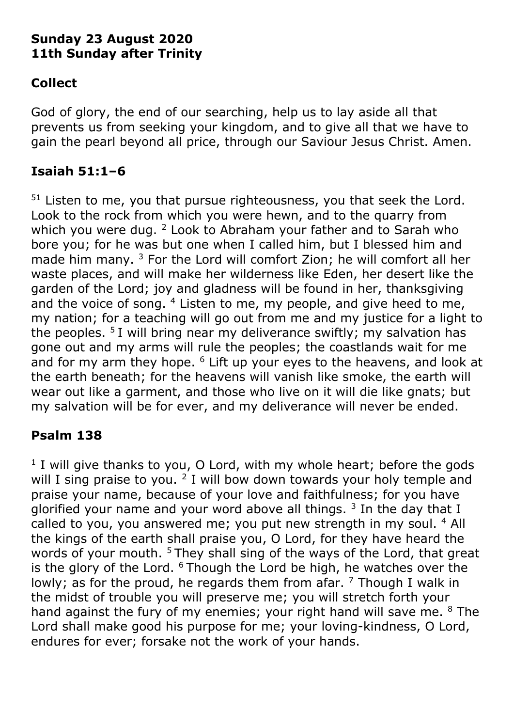# **Sunday 23 August 2020 11th Sunday after Trinity**

# **Collect**

God of glory, the end of our searching, help us to lay aside all that prevents us from seeking your kingdom, and to give all that we have to gain the pearl beyond all price, through our Saviour Jesus Christ. Amen.

# **Isaiah 51:1–6**

 $51$  Listen to me, you that pursue righteousness, you that seek the Lord. Look to the rock from which you were hewn, and to the quarry from which you were dug. <sup>2</sup> Look to Abraham your father and to Sarah who bore you; for he was but one when I called him, but I blessed him and made him many. <sup>3</sup> For the Lord will comfort Zion; he will comfort all her waste places, and will make her wilderness like Eden, her desert like the garden of the Lord; joy and gladness will be found in her, thanksgiving and the voice of song. <sup>4</sup> Listen to me, my people, and give heed to me, my nation; for a teaching will go out from me and my justice for a light to the peoples.  $5I$  will bring near my deliverance swiftly; my salvation has gone out and my arms will rule the peoples; the coastlands wait for me and for my arm they hope. <sup>6</sup> Lift up your eyes to the heavens, and look at the earth beneath; for the heavens will vanish like smoke, the earth will wear out like a garment, and those who live on it will die like gnats; but my salvation will be for ever, and my deliverance will never be ended.

# **Psalm 138**

<sup>1</sup> I will give thanks to you, O Lord, with my whole heart; before the gods will I sing praise to you.  $2$  I will bow down towards your holy temple and praise your name, because of your love and faithfulness; for you have glorified your name and your word above all things.  $3$  In the day that I called to you, you answered me; you put new strength in my soul. <sup>4</sup> All the kings of the earth shall praise you, O Lord, for they have heard the words of your mouth. <sup>5</sup> They shall sing of the ways of the Lord, that great is the glory of the Lord.  $6$  Though the Lord be high, he watches over the lowly; as for the proud, he regards them from afar,  $<sup>7</sup>$  Though I walk in</sup> the midst of trouble you will preserve me; you will stretch forth your hand against the fury of my enemies; your right hand will save me. <sup>8</sup> The Lord shall make good his purpose for me; your loving-kindness, O Lord, endures for ever; forsake not the work of your hands.